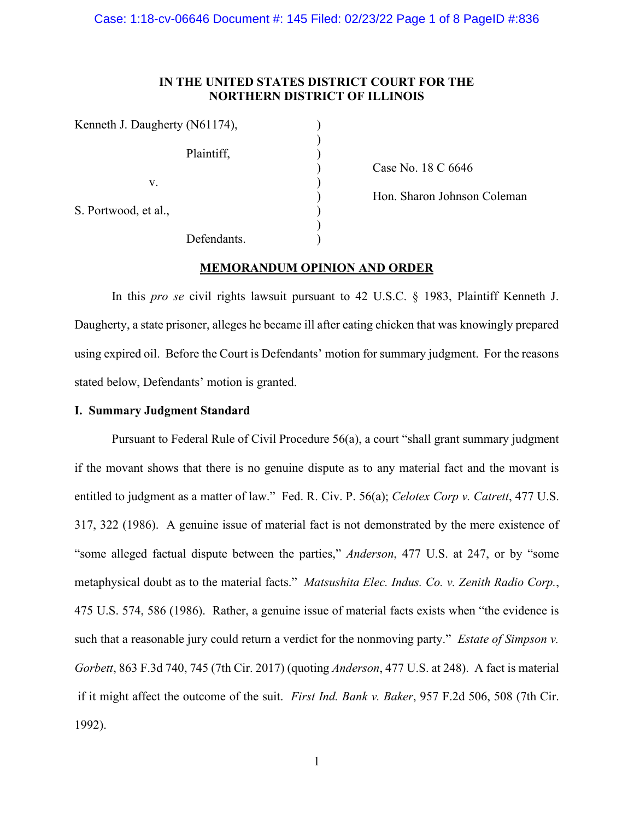# **IN THE UNITED STATES DISTRICT COURT FOR THE NORTHERN DISTRICT OF ILLINOIS**

| Kenneth J. Daugherty (N61174), |  |
|--------------------------------|--|
| Plaintiff,                     |  |
| V.                             |  |
| S. Portwood, et al.,           |  |
| Defendants.                    |  |

) Case No. 18 C 6646

) Hon. Sharon Johnson Coleman

# **MEMORANDUM OPINION AND ORDER**

In this *pro se* civil rights lawsuit pursuant to 42 U.S.C. § 1983, Plaintiff Kenneth J. Daugherty, a state prisoner, alleges he became ill after eating chicken that was knowingly prepared using expired oil. Before the Court is Defendants' motion for summary judgment. For the reasons stated below, Defendants' motion is granted.

# **I. Summary Judgment Standard**

Pursuant to Federal Rule of Civil Procedure 56(a), a court "shall grant summary judgment if the movant shows that there is no genuine dispute as to any material fact and the movant is entitled to judgment as a matter of law." Fed. R. Civ. P. 56(a); *Celotex Corp v. Catrett*, 477 U.S. 317, 322 (1986). A genuine issue of material fact is not demonstrated by the mere existence of "some alleged factual dispute between the parties," *Anderson*, 477 U.S. at 247, or by "some metaphysical doubt as to the material facts." *Matsushita Elec. Indus. Co. v. Zenith Radio Corp.*, 475 U.S. 574, 586 (1986). Rather, a genuine issue of material facts exists when "the evidence is such that a reasonable jury could return a verdict for the nonmoving party." *Estate of Simpson v. Gorbett*, 863 F.3d 740, 745 (7th Cir. 2017) (quoting *Anderson*, 477 U.S. at 248). A fact is material if it might affect the outcome of the suit. *First Ind. Bank v. Baker*, 957 F.2d 506, 508 (7th Cir. 1992).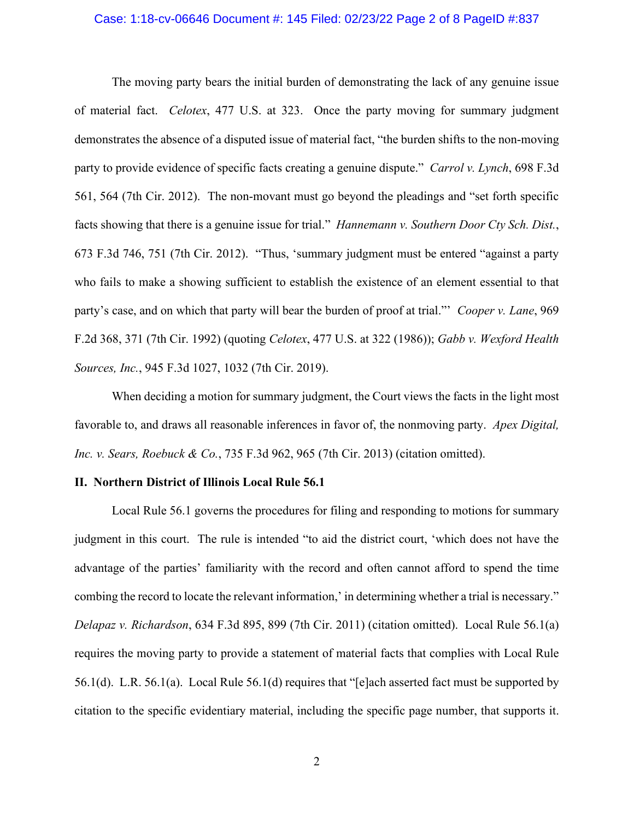## Case: 1:18-cv-06646 Document #: 145 Filed: 02/23/22 Page 2 of 8 PageID #:837

The moving party bears the initial burden of demonstrating the lack of any genuine issue of material fact. *Celotex*, 477 U.S. at 323. Once the party moving for summary judgment demonstrates the absence of a disputed issue of material fact, "the burden shifts to the non-moving party to provide evidence of specific facts creating a genuine dispute." *Carrol v. Lynch*, 698 F.3d 561, 564 (7th Cir. 2012). The non-movant must go beyond the pleadings and "set forth specific facts showing that there is a genuine issue for trial." *Hannemann v. Southern Door Cty Sch. Dist.*, 673 F.3d 746, 751 (7th Cir. 2012). "Thus, 'summary judgment must be entered "against a party who fails to make a showing sufficient to establish the existence of an element essential to that party's case, and on which that party will bear the burden of proof at trial."' *Cooper v. Lane*, 969 F.2d 368, 371 (7th Cir. 1992) (quoting *Celotex*, 477 U.S. at 322 (1986)); *Gabb v. Wexford Health Sources, Inc.*, 945 F.3d 1027, 1032 (7th Cir. 2019).

When deciding a motion for summary judgment, the Court views the facts in the light most favorable to, and draws all reasonable inferences in favor of, the nonmoving party. *Apex Digital, Inc. v. Sears, Roebuck & Co.*, 735 F.3d 962, 965 (7th Cir. 2013) (citation omitted).

## **II. Northern District of Illinois Local Rule 56.1**

Local Rule 56.1 governs the procedures for filing and responding to motions for summary judgment in this court. The rule is intended "to aid the district court, 'which does not have the advantage of the parties' familiarity with the record and often cannot afford to spend the time combing the record to locate the relevant information,' in determining whether a trial is necessary." *Delapaz v. Richardson*, 634 F.3d 895, 899 (7th Cir. 2011) (citation omitted). Local Rule 56.1(a) requires the moving party to provide a statement of material facts that complies with Local Rule 56.1(d). L.R. 56.1(a). Local Rule 56.1(d) requires that "[e]ach asserted fact must be supported by citation to the specific evidentiary material, including the specific page number, that supports it.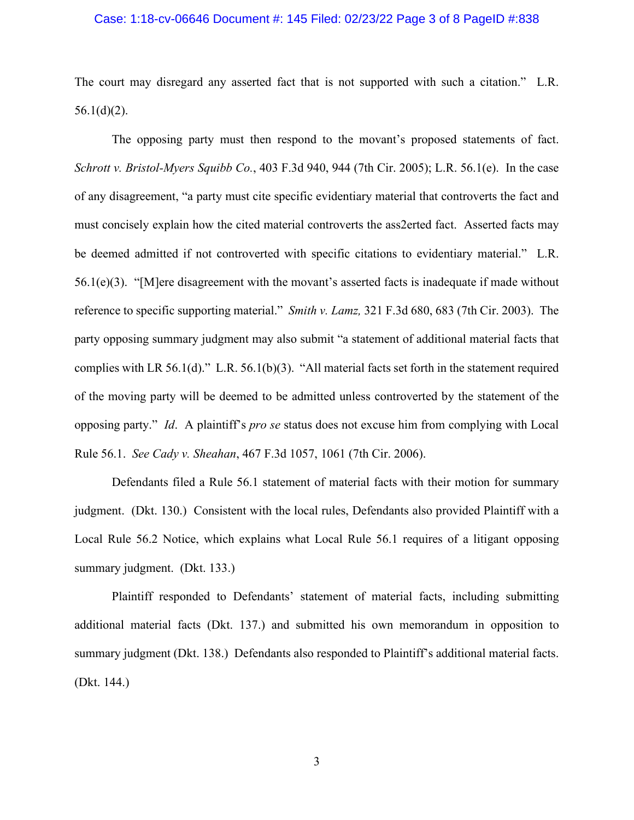## Case: 1:18-cv-06646 Document #: 145 Filed: 02/23/22 Page 3 of 8 PageID #:838

The court may disregard any asserted fact that is not supported with such a citation." L.R.  $56.1(d)(2)$ .

The opposing party must then respond to the movant's proposed statements of fact. *[Schrott v. Bristol-Myers Squibb Co.](https://web2.westlaw.com/find/default.wl?mt=Westlaw&db=0000506&tc=-1&rp=%2ffind%2fdefault.wl&findtype=Y&ordoc=2036243492&serialnum=2006464425&vr=2.0&fn=_top&sv=Split&tf=-1&referencepositiontype=S&pbc=5AA5E9CC&referenceposition=944&rs=WLW15.04)*, 403 F.3d 940, 944 (7th Cir. 2005); L.R. 56.1(e). In the case of any disagreement, "a party must cite specific evidentiary material that controverts the fact and must concisely explain how the cited material controverts the ass2erted fact. Asserted facts may be deemed admitted if not controverted with specific citations to evidentiary material." L.R. 56.1(e)(3). "[M]ere disagreement with the movant's asserted facts is inadequate if made without reference to specific supporting material." *Smith v. Lamz,* [321 F.3d 680, 683 \(7th Cir. 2003\).](https://web2.westlaw.com/find/default.wl?mt=Westlaw&db=0000506&tc=-1&rp=%2ffind%2fdefault.wl&findtype=Y&ordoc=2036243492&serialnum=2003193643&vr=2.0&fn=_top&sv=Split&tf=-1&referencepositiontype=S&pbc=5AA5E9CC&referenceposition=683&rs=WLW15.04) The party opposing summary judgment may also submit "a statement of additional material facts that complies with LR 56.1(d)." L.R. 56.1(b)(3). "All material facts set forth in the statement required of the moving party will be deemed to be admitted unless controverted by the statement of the opposing party." *Id*. A plaintiff's *pro se* status does not excuse him from complying with Local Rule 56.1. *See Cady v. Sheahan*, 467 F.3d 1057, 1061 (7th Cir. 2006).

Defendants filed a Rule 56.1 statement of material facts with their motion for summary judgment. (Dkt. 130.) Consistent with the local rules, Defendants also provided Plaintiff with a Local Rule 56.2 Notice, which explains what Local Rule 56.1 requires of a litigant opposing summary judgment. (Dkt. 133.)

Plaintiff responded to Defendants' statement of material facts, including submitting additional material facts (Dkt. 137.) and submitted his own memorandum in opposition to summary judgment (Dkt. 138.) Defendants also responded to Plaintiff's additional material facts. (Dkt. 144.)

3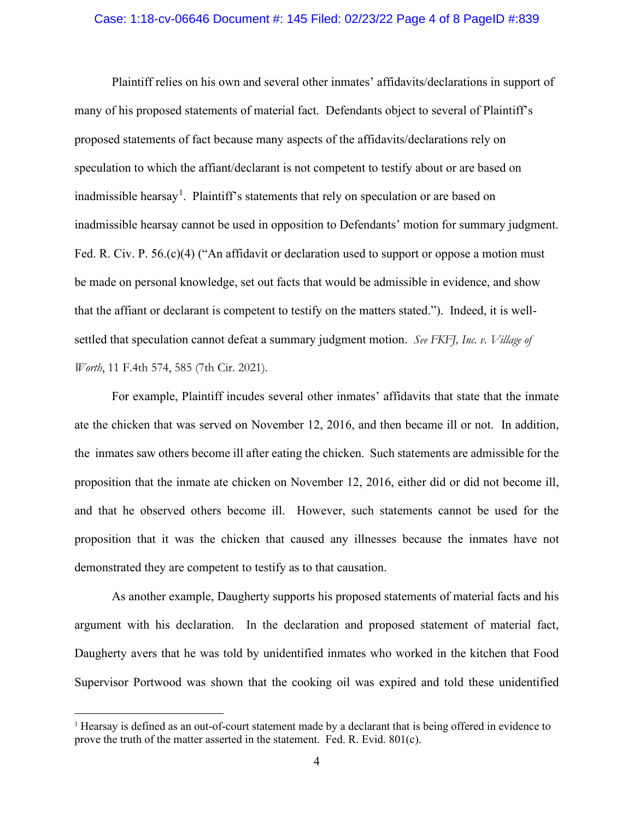#### Case: 1:18-cv-06646 Document #: 145 Filed: 02/23/22 Page 4 of 8 PageID #:839

Plaintiff relies on his own and several other inmates' affidavits/declarations in support of many of his proposed statements of material fact. Defendants object to several of Plaintiff's proposed statements of fact because many aspects of the affidavits/declarations rely on speculation to which the affiant/declarant is not competent to testify about or are based on inadmissible hearsay<sup>[1](#page-3-0)</sup>. Plaintiff's statements that rely on speculation or are based on inadmissible hearsay cannot be used in opposition to Defendants' motion for summary judgment. Fed. R. Civ. P. 56.(c)(4) ("An affidavit or declaration used to support or oppose a motion must be made on personal knowledge, set out facts that would be admissible in evidence, and show that the affiant or declarant is competent to testify on the matters stated."). Indeed, it is wellsettled that speculation cannot defeat a summary judgment motion. *See FKFJ, Inc. v. Village of Worth*, 11 F.4th 574, 585 (7th Cir. 2021).

For example, Plaintiff incudes several other inmates' affidavits that state that the inmate ate the chicken that was served on November 12, 2016, and then became ill or not. In addition, the inmates saw others become ill after eating the chicken. Such statements are admissible for the proposition that the inmate ate chicken on November 12, 2016, either did or did not become ill, and that he observed others become ill. However, such statements cannot be used for the proposition that it was the chicken that caused any illnesses because the inmates have not demonstrated they are competent to testify as to that causation.

As another example, Daugherty supports his proposed statements of material facts and his argument with his declaration. In the declaration and proposed statement of material fact, Daugherty avers that he was told by unidentified inmates who worked in the kitchen that Food Supervisor Portwood was shown that the cooking oil was expired and told these unidentified

<span id="page-3-0"></span><sup>1</sup> Hearsay is defined as an out-of-court statement made by a declarant that is being offered in evidence to prove the truth of the matter asserted in the statement. Fed. R. Evid. 801(c).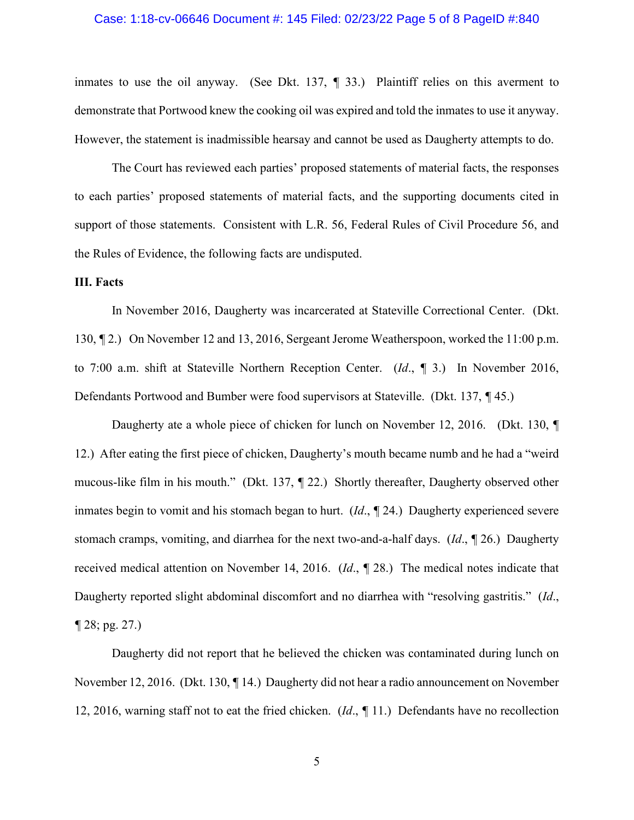#### Case: 1:18-cv-06646 Document #: 145 Filed: 02/23/22 Page 5 of 8 PageID #:840

inmates to use the oil anyway. (See Dkt. 137, *¶* 33.) Plaintiff relies on this averment to demonstrate that Portwood knew the cooking oil was expired and told the inmates to use it anyway. However, the statement is inadmissible hearsay and cannot be used as Daugherty attempts to do.

The Court has reviewed each parties' proposed statements of material facts, the responses to each parties' proposed statements of material facts, and the supporting documents cited in support of those statements. Consistent with L.R. 56, Federal Rules of Civil Procedure 56, and the Rules of Evidence, the following facts are undisputed.

# **III. Facts**

In November 2016, Daugherty was incarcerated at Stateville Correctional Center. (Dkt. 130, *¶* 2.) On November 12 and 13, 2016, Sergeant Jerome Weatherspoon, worked the 11:00 p.m. to 7:00 a.m. shift at Stateville Northern Reception Center. (*Id*., *¶* 3.) In November 2016, Defendants Portwood and Bumber were food supervisors at Stateville. (Dkt. 137, *¶* 45.)

Daugherty ate a whole piece of chicken for lunch on November 12, 2016. (Dkt. 130, *¶* 12.) After eating the first piece of chicken, Daugherty's mouth became numb and he had a "weird mucous-like film in his mouth." (Dkt. 137, *¶* 22.) Shortly thereafter, Daugherty observed other inmates begin to vomit and his stomach began to hurt. (*Id*., *¶* 24.) Daugherty experienced severe stomach cramps, vomiting, and diarrhea for the next two-and-a-half days. (*Id*., *¶* 26.) Daugherty received medical attention on November 14, 2016. (*Id*., *¶* 28.) The medical notes indicate that Daugherty reported slight abdominal discomfort and no diarrhea with "resolving gastritis." (*Id*., *¶* 28; pg. 27.)

Daugherty did not report that he believed the chicken was contaminated during lunch on November 12, 2016. (Dkt. 130, *¶* 14.) Daugherty did not hear a radio announcement on November 12, 2016, warning staff not to eat the fried chicken. (*Id*., *¶* 11.) Defendants have no recollection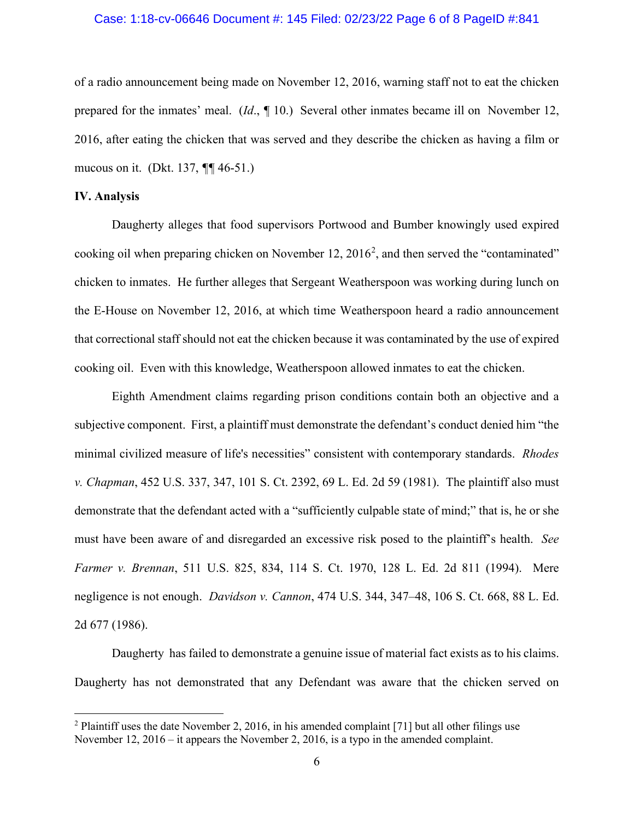## Case: 1:18-cv-06646 Document #: 145 Filed: 02/23/22 Page 6 of 8 PageID #:841

of a radio announcement being made on November 12, 2016, warning staff not to eat the chicken prepared for the inmates' meal. (*Id*., *¶* 10.) Several other inmates became ill on November 12, 2016, after eating the chicken that was served and they describe the chicken as having a film or mucous on it. (Dkt. 137, *¶¶* 46-51.)

# **IV. Analysis**

Daugherty alleges that food supervisors Portwood and Bumber knowingly used expired cooking oil when preparing chicken on November 1[2](#page-5-0),  $2016^2$ , and then served the "contaminated" chicken to inmates. He further alleges that Sergeant Weatherspoon was working during lunch on the E-House on November 12, 2016, at which time Weatherspoon heard a radio announcement that correctional staff should not eat the chicken because it was contaminated by the use of expired cooking oil. Even with this knowledge, Weatherspoon allowed inmates to eat the chicken.

Eighth Amendment claims regarding prison conditions contain both an objective and a subjective component. First, a plaintiff must demonstrate the defendant's conduct denied him "the minimal civilized measure of life's necessities" consistent with contemporary standards. *Rhodes v. Chapman*, 452 U.S. 337, 347, 101 S. Ct. 2392, 69 L. Ed. 2d 59 (1981). The plaintiff also must demonstrate that the defendant acted with a "sufficiently culpable state of mind;" that is, he or she must have been aware of and disregarded an excessive risk posed to the plaintiff's health. *See Farmer v. Brennan*, 511 U.S. 825, 834, 114 S. Ct. 1970, 128 L. Ed. 2d 811 (1994). Mere negligence is not enough. *Davidson v. Cannon*, 474 U.S. 344, 347–48, 106 S. Ct. 668, 88 L. Ed. 2d 677 (1986).

Daugherty has failed to demonstrate a genuine issue of material fact exists as to his claims. Daugherty has not demonstrated that any Defendant was aware that the chicken served on

<span id="page-5-0"></span> $2$  Plaintiff uses the date November 2, 2016, in his amended complaint [71] but all other filings use November 12, 2016 – it appears the November 2, 2016, is a typo in the amended complaint.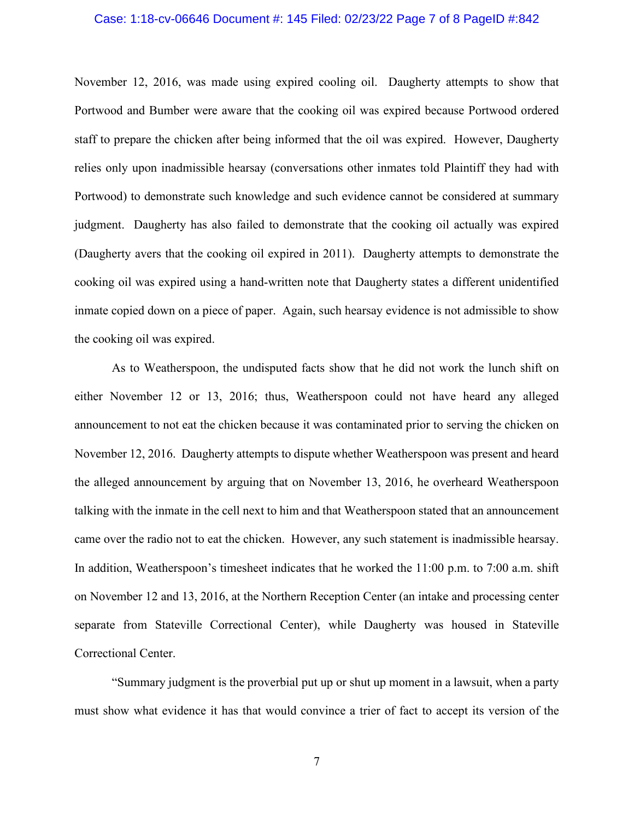## Case: 1:18-cv-06646 Document #: 145 Filed: 02/23/22 Page 7 of 8 PageID #:842

November 12, 2016, was made using expired cooling oil. Daugherty attempts to show that Portwood and Bumber were aware that the cooking oil was expired because Portwood ordered staff to prepare the chicken after being informed that the oil was expired. However, Daugherty relies only upon inadmissible hearsay (conversations other inmates told Plaintiff they had with Portwood) to demonstrate such knowledge and such evidence cannot be considered at summary judgment. Daugherty has also failed to demonstrate that the cooking oil actually was expired (Daugherty avers that the cooking oil expired in 2011). Daugherty attempts to demonstrate the cooking oil was expired using a hand-written note that Daugherty states a different unidentified inmate copied down on a piece of paper. Again, such hearsay evidence is not admissible to show the cooking oil was expired.

As to Weatherspoon, the undisputed facts show that he did not work the lunch shift on either November 12 or 13, 2016; thus, Weatherspoon could not have heard any alleged announcement to not eat the chicken because it was contaminated prior to serving the chicken on November 12, 2016. Daugherty attempts to dispute whether Weatherspoon was present and heard the alleged announcement by arguing that on November 13, 2016, he overheard Weatherspoon talking with the inmate in the cell next to him and that Weatherspoon stated that an announcement came over the radio not to eat the chicken. However, any such statement is inadmissible hearsay. In addition, Weatherspoon's timesheet indicates that he worked the 11:00 p.m. to 7:00 a.m. shift on November 12 and 13, 2016, at the Northern Reception Center (an intake and processing center separate from Stateville Correctional Center), while Daugherty was housed in Stateville Correctional Center.

"Summary judgment is the proverbial put up or shut up moment in a lawsuit, when a party must show what evidence it has that would convince a trier of fact to accept its version of the